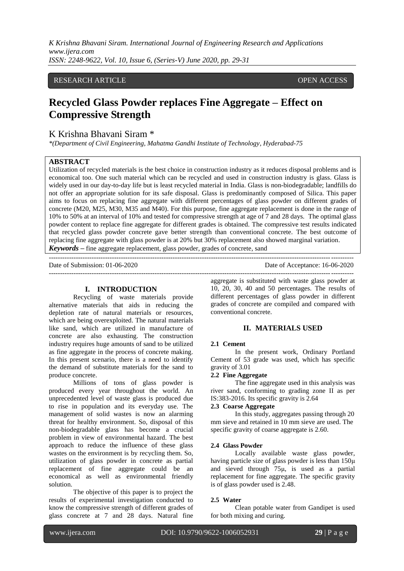*K Krishna Bhavani Siram. International Journal of Engineering Research and Applications www.ijera.com ISSN: 2248-9622, Vol. 10, Issue 6, (Series-V) June 2020, pp. 29-31*

# RESEARCH ARTICLE **OPEN ACCESS**

# **Recycled Glass Powder replaces Fine Aggregate – Effect on Compressive Strength**

# K Krishna Bhavani Siram \*

*\*(Department of Civil Engineering, Mahatma Gandhi Institute of Technology, Hyderabad-75*

## **ABSTRACT**

Utilization of recycled materials is the best choice in construction industry as it reduces disposal problems and is economical too. One such material which can be recycled and used in construction industry is glass. Glass is widely used in our day-to-day life but is least recycled material in India. Glass is non-biodegradable; landfills do not offer an appropriate solution for its safe disposal. Glass is predominantly composed of Silica. This paper aims to focus on replacing fine aggregate with different percentages of glass powder on different grades of concrete (M20, M25, M30, M35 and M40). For this purpose, fine aggregate replacement is done in the range of 10% to 50% at an interval of 10% and tested for compressive strength at age of 7 and 28 days. The optimal glass powder content to replace fine aggregate for different grades is obtained. The compressive test results indicated that recycled glass powder concrete gave better strength than conventional concrete. The best outcome of replacing fine aggregate with glass powder is at 20% but 30% replacement also showed marginal variation. *Keywords* **–** fine aggregate replacement, glass powder, grades of concrete, sand

---------------------------------------------------------------------------------------------------------------------------------------

Date of Submission: 01-06-2020 Date of Acceptance: 16-06-2020 ---------------------------------------------------------------------------------------------------------------------------------------

### **I. INTRODUCTION**

Recycling of waste materials provide alternative materials that aids in reducing the depletion rate of natural materials or resources, which are being overexploited. The natural materials like sand, which are utilized in manufacture of concrete are also exhausting. The construction industry requires huge amounts of sand to be utilized as fine aggregate in the process of concrete making. In this present scenario, there is a need to identify the demand of substitute materials for the sand to produce concrete.

Millions of tons of glass powder is produced every year throughout the world. An unprecedented level of waste glass is produced due to rise in population and its everyday use. The management of solid wastes is now an alarming threat for healthy environment. So, disposal of this non-biodegradable glass has become a crucial problem in view of environmental hazard. The best approach to reduce the influence of these glass wastes on the environment is by recycling them. So, utilization of glass powder in concrete as partial replacement of fine aggregate could be an economical as well as environmental friendly solution.

The objective of this paper is to project the results of experimental investigation conducted to know the compressive strength of different grades of glass concrete at 7 and 28 days. Natural fine aggregate is substituted with waste glass powder at 10, 20, 30, 40 and 50 percentages. The results of different percentages of glass powder in different grades of concrete are compiled and compared with conventional concrete.

#### **II. MATERIALS USED**

#### **2.1 Cement**

In the present work, Ordinary Portland Cement of 53 grade was used, which has specific gravity of 3.01

## **2.2 Fine Aggregate**

The fine aggregate used in this analysis was river sand, conforming to grading zone II as per IS:383-2016. Its specific gravity is 2.64

## **2.3 Coarse Aggregate**

In this study, aggregates passing through 20 mm sieve and retained in 10 mm sieve are used. The specific gravity of coarse aggregate is 2.60.

#### **2.4 Glass Powder**

Locally available waste glass powder, having particle size of glass powder is less than 150μ and sieved through 75μ, is used as a partial replacement for fine aggregate. The specific gravity is of glass powder used is 2.48.

### **2.5 Water**

Clean potable water from Gandipet is used for both mixing and curing.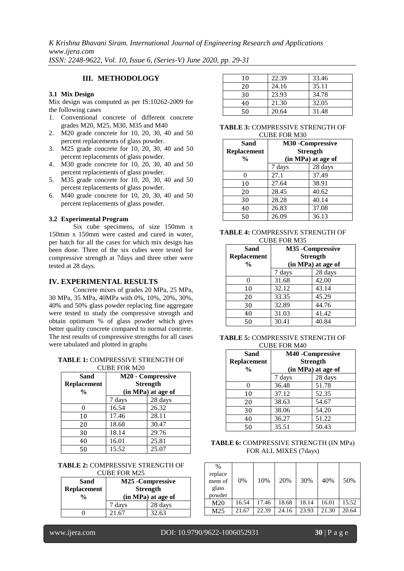*K Krishna Bhavani Siram. International Journal of Engineering Research and Applications www.ijera.com ISSN: 2248-9622, Vol. 10, Issue 6, (Series-V) June 2020, pp. 29-31*

# **III. METHODOLOGY**

## **3.1 Mix Design**

Mix design was computed as per IS:10262-2009 for the following cases

- 1. Conventional concrete of different concrete grades M20, M25, M30, M35 and M40
- 2. M20 grade concrete for 10, 20, 30, 40 and 50 percent replacements of glass powder.
- 3. M25 grade concrete for 10, 20, 30, 40 and 50 percent replacements of glass powder.
- 4. M30 grade concrete for 10, 20, 30, 40 and 50 percent replacements of glass powder.
- 5. M35 grade concrete for 10, 20, 30, 40 and 50 percent replacements of glass powder.
- 6. M40 grade concrete for 10, 20, 30, 40 and 50 percent replacements of glass powder.

### **3.2 Experimental Program**

Six cube specimens, of size 150mm x 150mm x 150mm were casted and cured in water, per batch for all the cases for which mix design has been done. Three of the six cubes were tested for compressive strength at 7days and three other were tested at 28 days.

## **IV. EXPERIMENTAL RESULTS**

Concrete mixes of grades 20 MPa, 25 MPa, 30 MPa, 35 MPa, 40MPa with 0%, 10%, 20%, 30%, 40% and 50% glass powder replacing fine aggregate were tested to study the compressive strength and obtain optimum % of glass powder which gives better quality concrete compared to normal concrete. The test results of compressive strengths for all cases were tabulated and plotted in graphs

#### **TABLE 1:** COMPRESSIVE STRENGTH OF CUBE FOR M20

| <b>Sand</b><br>Replacement | M20 - Compressive<br><b>Strength</b><br>(in MPa) at age of |       |  |  |  |
|----------------------------|------------------------------------------------------------|-------|--|--|--|
| $\frac{0}{0}$              |                                                            |       |  |  |  |
|                            | 28 days<br>7 days                                          |       |  |  |  |
|                            | 16.54                                                      | 26.32 |  |  |  |
| 10                         | 17.46                                                      | 28.11 |  |  |  |
| 20                         | 18.68                                                      | 30.47 |  |  |  |
| 30                         | 18.14                                                      | 29.76 |  |  |  |
| 40                         | 16.01                                                      | 25.81 |  |  |  |
| 50                         | 15.52                                                      | 25.07 |  |  |  |

#### **TABLE 2:** COMPRESSIVE STRENGTH OF CUBE FOR M25

| Sand<br><b>Replacement</b><br>$\frac{0}{0}$ | M25 - Compressive<br><b>Strength</b><br>(in MPa) at age of |         |
|---------------------------------------------|------------------------------------------------------------|---------|
|                                             | 7 days                                                     | 28 days |
|                                             | 21.67                                                      | 32.63   |

| 10 | 22.39 | 33.46 |
|----|-------|-------|
| 20 | 24.16 | 35.11 |
| 30 | 23.93 | 34.78 |
| 40 | 21.30 | 32.05 |
| 50 | 20.64 | 31.48 |

#### **TABLE 3:** COMPRESSIVE STRENGTH OF CUBE FOR M30

| <b>Sand</b><br><b>Replacement</b><br>$\frac{0}{0}$ | M30 - Compressive<br><b>Strength</b><br>(in MPa) at age of |       |  |
|----------------------------------------------------|------------------------------------------------------------|-------|--|
|                                                    | 28 days<br>7 days                                          |       |  |
|                                                    | 27.1                                                       | 37.49 |  |
| 10                                                 | 27.64                                                      | 38.91 |  |
| 20                                                 | 28.45                                                      | 40.62 |  |
| 30                                                 | 28.28                                                      | 40.14 |  |
| 40                                                 | 26.83                                                      | 37.08 |  |
| 50                                                 | 26.09                                                      | 36.13 |  |

#### **TABLE 4:** COMPRESSIVE STRENGTH OF CUBE FOR M35

| Sand<br>Replacement<br>$\frac{0}{0}$ | M35 - Compressive<br><b>Strength</b><br>(in MPa) at age of |         |  |
|--------------------------------------|------------------------------------------------------------|---------|--|
|                                      | 7 days                                                     | 28 days |  |
|                                      | 31.68                                                      | 42.00   |  |
| 10                                   | 32.12                                                      | 43.14   |  |
| 20                                   | 33.35                                                      | 45.29   |  |
| 30                                   | 32.89                                                      | 44.76   |  |
| 40                                   | 31.03                                                      | 41.42   |  |
| 50                                   | 30.41                                                      | 40.84   |  |

#### **TABLE 5:** COMPRESSIVE STRENGTH OF CUBE FOR M40

| Sand<br><b>Replacement</b><br>$\frac{0}{0}$ | M40 - Compressive<br><b>Strength</b><br>(in MPa) at age of |       |  |  |
|---------------------------------------------|------------------------------------------------------------|-------|--|--|
|                                             | 28 days<br>7 days                                          |       |  |  |
|                                             | 36.48                                                      | 51.78 |  |  |
| 10                                          | 37.12                                                      | 52.35 |  |  |
| 20                                          | 38.63                                                      | 54.67 |  |  |
| 30                                          | 38.06                                                      | 54.20 |  |  |
| 40                                          | 36.27                                                      | 51.22 |  |  |
| 50                                          | 35.51                                                      | 50.43 |  |  |

### **TABLE 6:** COMPRESSIVE STRENGTH (IN MPa) FOR ALL MIXES (7days)

| $\%$<br>replace<br>ment of<br>glass<br>powder | 0%    | 10%   | 20%   | 30%   | 40%   | 50%   |
|-----------------------------------------------|-------|-------|-------|-------|-------|-------|
| M <sub>20</sub>                               | 16.54 | 17.46 | 18.68 | 18.14 | 16.01 | 15.52 |
| M25                                           | 21.67 | 22.39 | 24.16 | 23.93 | 21.30 | 20.64 |